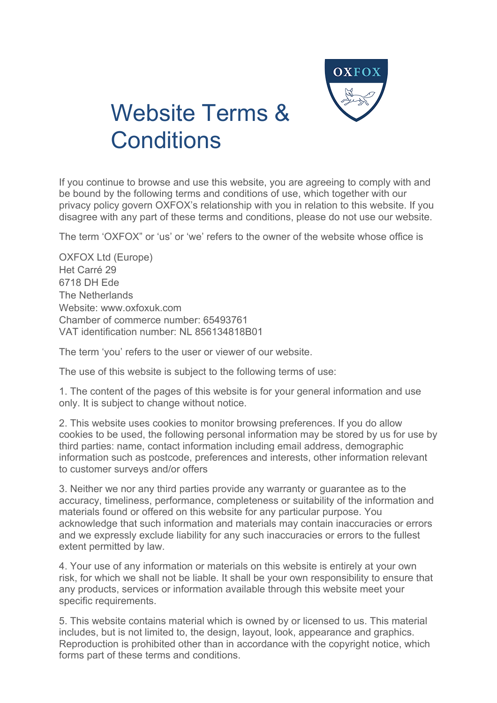

## Website Terms & **Conditions**

If you continue to browse and use this website, you are agreeing to comply with and be bound by the following terms and conditions of use, which together with our privacy policy govern OXFOX's relationship with you in relation to this website. If you disagree with any part of these terms and conditions, please do not use our website.

The term 'OXFOX" or 'us' or 'we' refers to the owner of the website whose office is

OXFOX Ltd (Europe) Het Carré 29 6718 DH Ede The Netherlands Website: www.oxfoxuk.com Chamber of commerce number: 65493761 VAT identification number: NL 856134818B01

The term 'you' refers to the user or viewer of our website.

The use of this website is subject to the following terms of use:

1. The content of the pages of this website is for your general information and use only. It is subject to change without notice.

2. This website uses cookies to monitor browsing preferences. If you do allow cookies to be used, the following personal information may be stored by us for use by third parties: name, contact information including email address, demographic information such as postcode, preferences and interests, other information relevant to customer surveys and/or offers

3. Neither we nor any third parties provide any warranty or guarantee as to the accuracy, timeliness, performance, completeness or suitability of the information and materials found or offered on this website for any particular purpose. You acknowledge that such information and materials may contain inaccuracies or errors and we expressly exclude liability for any such inaccuracies or errors to the fullest extent permitted by law.

4. Your use of any information or materials on this website is entirely at your own risk, for which we shall not be liable. It shall be your own responsibility to ensure that any products, services or information available through this website meet your specific requirements.

5. This website contains material which is owned by or licensed to us. This material includes, but is not limited to, the design, layout, look, appearance and graphics. Reproduction is prohibited other than in accordance with the copyright notice, which forms part of these terms and conditions.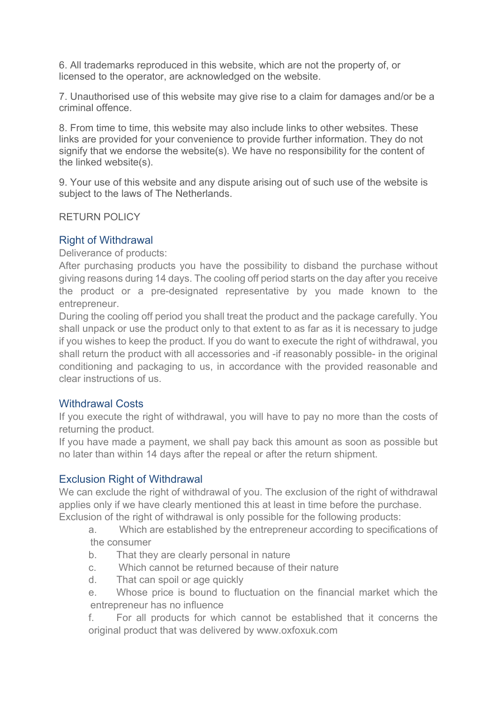6. All trademarks reproduced in this website, which are not the property of, or licensed to the operator, are acknowledged on the website.

7. Unauthorised use of this website may give rise to a claim for damages and/or be a criminal offence.

8. From time to time, this website may also include links to other websites. These links are provided for your convenience to provide further information. They do not signify that we endorse the website(s). We have no responsibility for the content of the linked website(s).

9. Your use of this website and any dispute arising out of such use of the website is subject to the laws of The Netherlands.

RETURN POLICY

## Right of Withdrawal

Deliverance of products:

After purchasing products you have the possibility to disband the purchase without giving reasons during 14 days. The cooling off period starts on the day after you receive the product or a pre-designated representative by you made known to the entrepreneur.

During the cooling off period you shall treat the product and the package carefully. You shall unpack or use the product only to that extent to as far as it is necessary to judge if you wishes to keep the product. If you do want to execute the right of withdrawal, you shall return the product with all accessories and -if reasonably possible- in the original conditioning and packaging to us, in accordance with the provided reasonable and clear instructions of us.

## Withdrawal Costs

If you execute the right of withdrawal, you will have to pay no more than the costs of returning the product.

If you have made a payment, we shall pay back this amount as soon as possible but no later than within 14 days after the repeal or after the return shipment.

## Exclusion Right of Withdrawal

We can exclude the right of withdrawal of you. The exclusion of the right of withdrawal applies only if we have clearly mentioned this at least in time before the purchase.

Exclusion of the right of withdrawal is only possible for the following products:

a. Which are established by the entrepreneur according to specifications of the consumer

- b. That they are clearly personal in nature
- c. Which cannot be returned because of their nature
- d. That can spoil or age quickly

e. Whose price is bound to fluctuation on the financial market which the entrepreneur has no influence

f. For all products for which cannot be established that it concerns the original product that was delivered by www.oxfoxuk.com